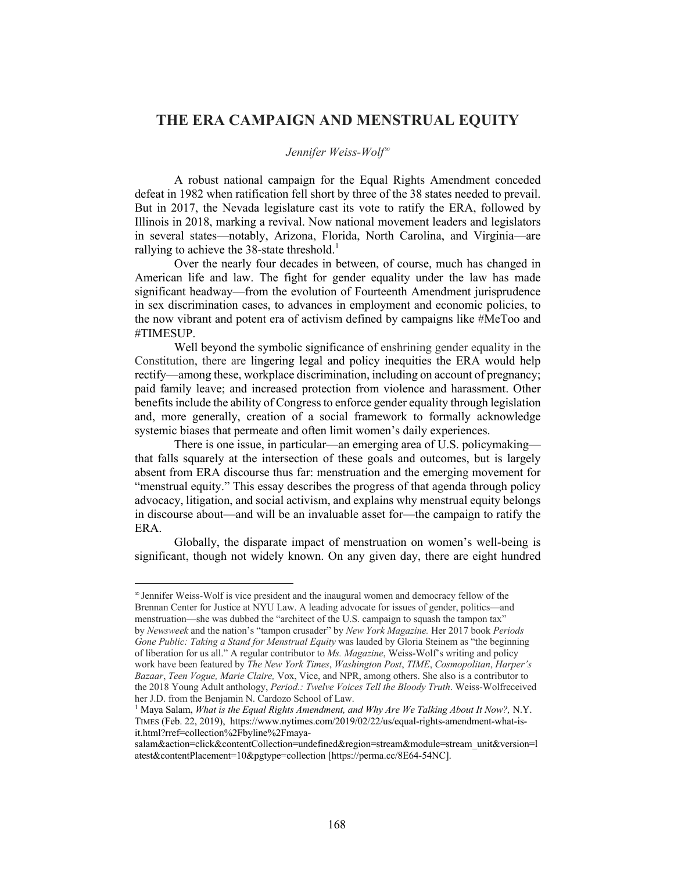## **THE ERA CAMPAIGN AND MENSTRUAL EQUITY**

## Jennifer Weiss-Wolf<sup>∞</sup>

A robust national campaign for the Equal Rights Amendment conceded defeat in 1982 when ratification fell short by three of the 38 states needed to prevail. But in 2017, the Nevada legislature cast its vote to ratify the ERA, followed by Illinois in 2018, marking a revival. Now national movement leaders and legislators in several states—notably, Arizona, Florida, North Carolina, and Virginia—are rallying to achieve the 38-state threshold.<sup>1</sup>

Over the nearly four decades in between, of course, much has changed in American life and law. The fight for gender equality under the law has made significant headway—from the evolution of Fourteenth Amendment jurisprudence in sex discrimination cases, to advances in employment and economic policies, to the now vibrant and potent era of activism defined by campaigns like #MeToo and #TIMESUP.

Well beyond the symbolic significance of enshrining gender equality in the Constitution, there are lingering legal and policy inequities the ERA would help rectify—among these, workplace discrimination, including on account of pregnancy; paid family leave; and increased protection from violence and harassment. Other benefits include the ability of Congress to enforce gender equality through legislation and, more generally, creation of a social framework to formally acknowledge systemic biases that permeate and often limit women's daily experiences.

There is one issue, in particular—an emerging area of U.S. policymaking that falls squarely at the intersection of these goals and outcomes, but is largely absent from ERA discourse thus far: menstruation and the emerging movement for "menstrual equity." This essay describes the progress of that agenda through policy advocacy, litigation, and social activism, and explains why menstrual equity belongs in discourse about—and will be an invaluable asset for—the campaign to ratify the ERA.

Globally, the disparate impact of menstruation on women's well-being is significant, though not widely known. On any given day, there are eight hundred

 $\infty$  Jennifer Weiss-Wolf is vice president and the inaugural women and democracy fellow of the Brennan Center for Justice at NYU Law. A leading advocate for issues of gender, politics—and menstruation—she was dubbed the "architect of the U.S. campaign to squash the tampon tax" by *Newsweek* and the nation's "tampon crusader" by *New York Magazine.* Her 2017 book *Periods Gone Public: Taking a Stand for Menstrual Equity* was lauded by Gloria Steinem as "the beginning of liberation for us all." A regular contributor to *Ms. Magazine*, Weiss-Wolf's writing and policy work have been featured by *The New York Times*, *Washington Post*, *TIME*, *Cosmopolitan*, *Harper's Bazaar*, *Teen Vogue, Marie Claire,* Vox, Vice, and NPR, among others. She also is a contributor to the 2018 Young Adult anthology, *Period.: Twelve Voices Tell the Bloody Truth*. Weiss-Wolfreceived her J.D. from the Benjamin N. Cardozo School of Law.

<sup>&</sup>lt;sup>1</sup> Maya Salam, *What is the Equal Rights Amendment, and Why Are We Talking About It Now?*, N.Y. TIMES (Feb. 22, 2019), https://www.nytimes.com/2019/02/22/us/equal-rights-amendment-what-isit.html?rref=collection%2Fbyline%2Fmaya-

salam&action=click&contentCollection=undefined&region=stream&module=stream\_unit&version=l atest&contentPlacement=10&pgtype=collection [https://perma.cc/8E64-54NC].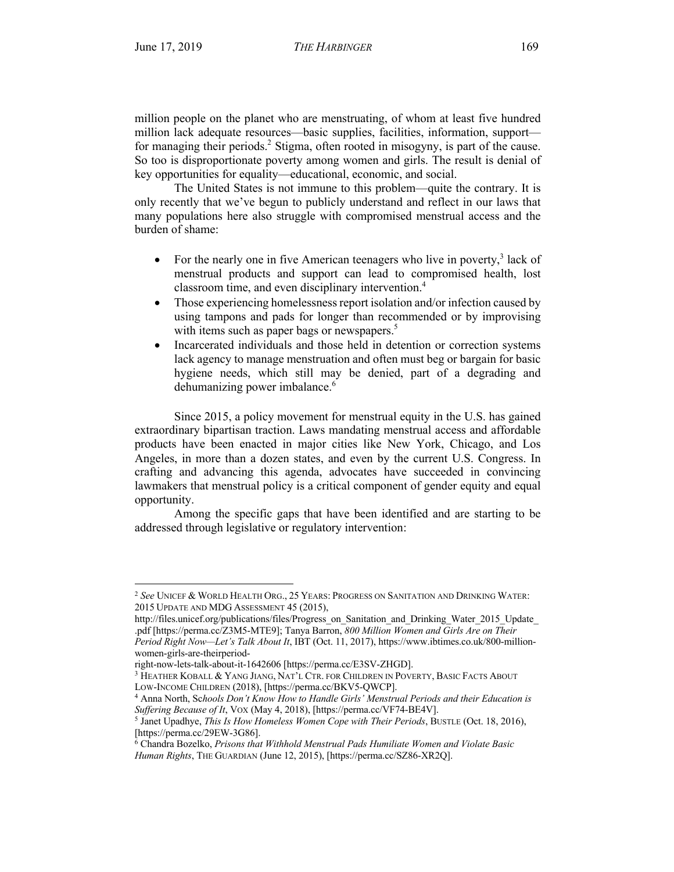l

million people on the planet who are menstruating, of whom at least five hundred million lack adequate resources—basic supplies, facilities, information, support for managing their periods.2 Stigma, often rooted in misogyny, is part of the cause. So too is disproportionate poverty among women and girls. The result is denial of key opportunities for equality—educational, economic, and social.

The United States is not immune to this problem—quite the contrary. It is only recently that we've begun to publicly understand and reflect in our laws that many populations here also struggle with compromised menstrual access and the burden of shame:

- For the nearly one in five American teenagers who live in poverty,<sup>3</sup> lack of menstrual products and support can lead to compromised health, lost classroom time, and even disciplinary intervention.4
- Those experiencing homelessness report isolation and/or infection caused by using tampons and pads for longer than recommended or by improvising with items such as paper bags or newspapers.<sup>5</sup>
- Incarcerated individuals and those held in detention or correction systems lack agency to manage menstruation and often must beg or bargain for basic hygiene needs, which still may be denied, part of a degrading and dehumanizing power imbalance.<sup>6</sup>

Since 2015, a policy movement for menstrual equity in the U.S. has gained extraordinary bipartisan traction. Laws mandating menstrual access and affordable products have been enacted in major cities like New York, Chicago, and Los Angeles, in more than a dozen states, and even by the current U.S. Congress. In crafting and advancing this agenda, advocates have succeeded in convincing lawmakers that menstrual policy is a critical component of gender equity and equal opportunity.

Among the specific gaps that have been identified and are starting to be addressed through legislative or regulatory intervention:

<sup>2</sup> *See* UNICEF & WORLD HEALTH ORG., 25 YEARS: PROGRESS ON SANITATION AND DRINKING WATER: 2015 UPDATE AND MDG ASSESSMENT 45 (2015),

http://files.unicef.org/publications/files/Progress\_on\_Sanitation\_and\_Drinking\_Water\_2015\_Update .pdf [https://perma.cc/Z3M5-MTE9]; Tanya Barron, *800 Million Women and Girls Are on Their* 

*Period Right Now—Let's Talk About It*, IBT (Oct. 11, 2017), https://www.ibtimes.co.uk/800-millionwomen-girls-are-theirperiod-

right-now-lets-talk-about-it-1642606 [https://perma.cc/E3SV-ZHGD].

<sup>&</sup>lt;sup>3</sup> HEATHER KOBALL & YANG JIANG, NAT'L CTR. FOR CHILDREN IN POVERTY, BASIC FACTS ABOUT LOW-INCOME CHILDREN (2018), [https://perma.cc/BKV5-QWCP].

<sup>4</sup> Anna North, Sc*hools Don't Know How to Handle Girls' Menstrual Periods and their Education is Suffering Because of It*, VOX (May 4, 2018), [https://perma.cc/VF74-BE4V].

<sup>5</sup> Janet Upadhye, *This Is How Homeless Women Cope with Their Periods*, BUSTLE (Oct. 18, 2016), [https://perma.cc/29EW-3G86].

<sup>6</sup> Chandra Bozelko, *Prisons that Withhold Menstrual Pads Humiliate Women and Violate Basic Human Rights*, THE GUARDIAN (June 12, 2015), [https://perma.cc/SZ86-XR2Q].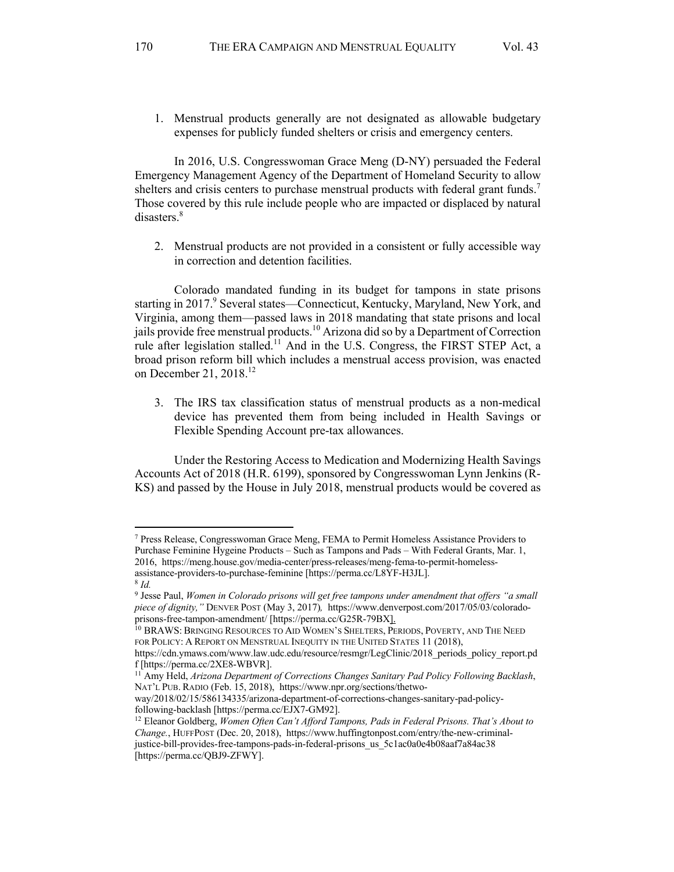1. Menstrual products generally are not designated as allowable budgetary expenses for publicly funded shelters or crisis and emergency centers.

In 2016, U.S. Congresswoman Grace Meng (D-NY) persuaded the Federal Emergency Management Agency of the Department of Homeland Security to allow shelters and crisis centers to purchase menstrual products with federal grant funds.<sup>7</sup> Those covered by this rule include people who are impacted or displaced by natural disasters.<sup>8</sup>

2. Menstrual products are not provided in a consistent or fully accessible way in correction and detention facilities.

Colorado mandated funding in its budget for tampons in state prisons starting in 2017.<sup>9</sup> Several states—Connecticut, Kentucky, Maryland, New York, and Virginia, among them—passed laws in 2018 mandating that state prisons and local jails provide free menstrual products.<sup>10</sup> Arizona did so by a Department of Correction rule after legislation stalled.<sup>11</sup> And in the U.S. Congress, the FIRST STEP Act, a broad prison reform bill which includes a menstrual access provision, was enacted on December 21, 2018.<sup>12</sup>

3. The IRS tax classification status of menstrual products as a non-medical device has prevented them from being included in Health Savings or Flexible Spending Account pre-tax allowances.

Under the Restoring Access to Medication and Modernizing Health Savings Accounts Act of 2018 (H.R. 6199), sponsored by Congresswoman Lynn Jenkins (R-KS) and passed by the House in July 2018, menstrual products would be covered as

<sup>7</sup> Press Release, Congresswoman Grace Meng, FEMA to Permit Homeless Assistance Providers to Purchase Feminine Hygeine Products – Such as Tampons and Pads – With Federal Grants, Mar. 1, 2016, https://meng.house.gov/media-center/press-releases/meng-fema-to-permit-homelessassistance-providers-to-purchase-feminine [https://perma.cc/L8YF-H3JL]. <sup>8</sup> *Id.*

<sup>9</sup> Jesse Paul, *Women in Colorado prisons will get free tampons under amendment that offers "a small piece of dignity,"* DENVER POST (May 3, 2017)*,* https://www.denverpost.com/2017/05/03/coloradoprisons-free-tampon-amendment/ [https://perma.cc/G25R-79BX].

<sup>&</sup>lt;sup>10</sup> BRAWS: BRINGING RESOURCES TO AID WOMEN'S SHELTERS, PERIODS, POVERTY, AND THE NEED FOR POLICY: A REPORT ON MENSTRUAL INEQUITY IN THE UNITED STATES 11 (2018),

https://cdn.ymaws.com/www.law.udc.edu/resource/resmgr/LegClinic/2018\_periods\_policy\_report.pd f [https://perma.cc/2XE8-WBVR].

<sup>11</sup> Amy Held, *Arizona Department of Corrections Changes Sanitary Pad Policy Following Backlash*, NAT'L PUB. RADIO (Feb. 15, 2018), https://www.npr.org/sections/thetwo-

way/2018/02/15/586134335/arizona-department-of-corrections-changes-sanitary-pad-policyfollowing-backlash [https://perma.cc/EJX7-GM92].

<sup>&</sup>lt;sup>12</sup> Eleanor Goldberg, *Women Often Can't Afford Tampons, Pads in Federal Prisons. That's About to Change.*, HUFFPOST (Dec. 20, 2018), https://www.huffingtonpost.com/entry/the-new-criminaljustice-bill-provides-free-tampons-pads-in-federal-prisons\_us\_5c1ac0a0e4b08aaf7a84ac38 [https://perma.cc/QBJ9-ZFWY].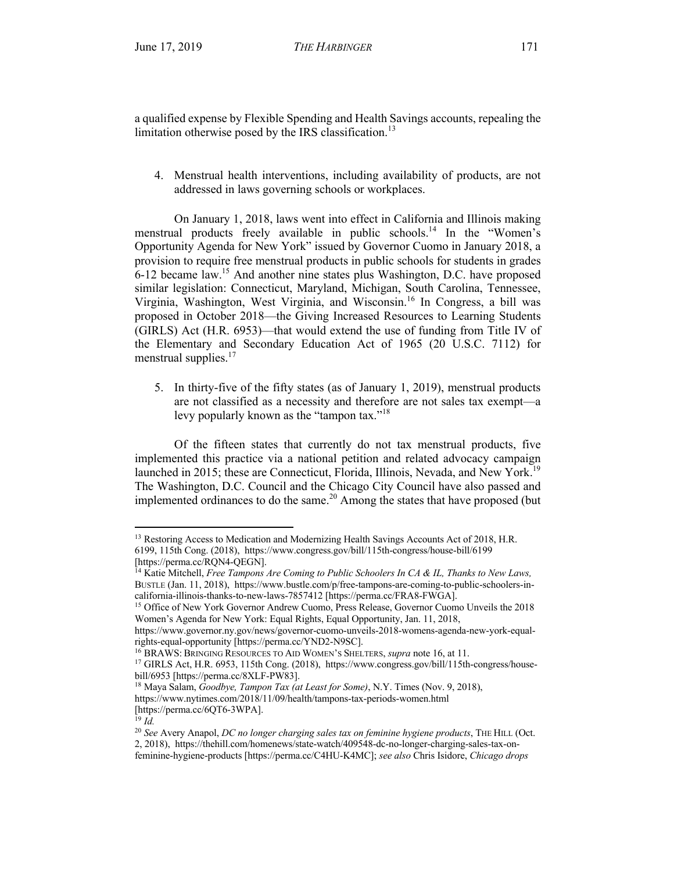a qualified expense by Flexible Spending and Health Savings accounts, repealing the limitation otherwise posed by the IRS classification.<sup>13</sup>

4. Menstrual health interventions, including availability of products, are not addressed in laws governing schools or workplaces.

On January 1, 2018, laws went into effect in California and Illinois making menstrual products freely available in public schools.<sup>14</sup> In the "Women's Opportunity Agenda for New York" issued by Governor Cuomo in January 2018, a provision to require free menstrual products in public schools for students in grades 6-12 became law. <sup>15</sup> And another nine states plus Washington, D.C. have proposed similar legislation: Connecticut, Maryland, Michigan, South Carolina, Tennessee, Virginia, Washington, West Virginia, and Wisconsin.<sup>16</sup> In Congress, a bill was proposed in October 2018—the Giving Increased Resources to Learning Students (GIRLS) Act (H.R. 6953)—that would extend the use of funding from Title IV of the Elementary and Secondary Education Act of 1965 (20 U.S.C. 7112) for menstrual supplies.<sup>17</sup>

5. In thirty-five of the fifty states (as of January 1, 2019), menstrual products are not classified as a necessity and therefore are not sales tax exempt—a levy popularly known as the "tampon tax."<sup>18</sup>

Of the fifteen states that currently do not tax menstrual products, five implemented this practice via a national petition and related advocacy campaign launched in 2015; these are Connecticut, Florida, Illinois, Nevada, and New York.<sup>19</sup> The Washington, D.C. Council and the Chicago City Council have also passed and implemented ordinances to do the same. $20$  Among the states that have proposed (but

<sup>&</sup>lt;sup>13</sup> Restoring Access to Medication and Modernizing Health Savings Accounts Act of 2018, H.R. 6199, 115th Cong. (2018), https://www.congress.gov/bill/115th-congress/house-bill/6199 [https://perma.cc/RQN4-QEGN].

<sup>14</sup> Katie Mitchell, *Free Tampons Are Coming to Public Schoolers In CA & IL, Thanks to New Laws,*  BUSTLE (Jan. 11, 2018), https://www.bustle.com/p/free-tampons-are-coming-to-public-schoolers-incalifornia-illinois-thanks-to-new-laws-7857412 [https://perma.cc/FRA8-FWGA].

<sup>&</sup>lt;sup>15</sup> Office of New York Governor Andrew Cuomo, Press Release, Governor Cuomo Unveils the 2018 Women's Agenda for New York: Equal Rights, Equal Opportunity, Jan. 11, 2018,

https://www.governor.ny.gov/news/governor-cuomo-unveils-2018-womens-agenda-new-york-equalrights-equal-opportunity [https://perma.cc/YND2-N9SC].

<sup>16</sup> BRAWS: BRINGING RESOURCES TO AID WOMEN'S SHELTERS, *supra* note 16, at 11.

<sup>17</sup> GIRLS Act, H.R. 6953, 115th Cong. (2018), https://www.congress.gov/bill/115th-congress/housebill/6953 [https://perma.cc/8XLF-PW83].

<sup>18</sup> Maya Salam, *Goodbye, Tampon Tax (at Least for Some)*, N.Y. Times (Nov. 9, 2018), https://www.nytimes.com/2018/11/09/health/tampons-tax-periods-women.html

<sup>[</sup>https://perma.cc/6QT6-3WPA].

 $^{19}$  *Id.* 

<sup>20</sup> *See* Avery Anapol, *DC no longer charging sales tax on feminine hygiene products*, THE HILL (Oct. 2, 2018), https://thehill.com/homenews/state-watch/409548-dc-no-longer-charging-sales-tax-onfeminine-hygiene-products [https://perma.cc/C4HU-K4MC]; *see also* Chris Isidore, *Chicago drops*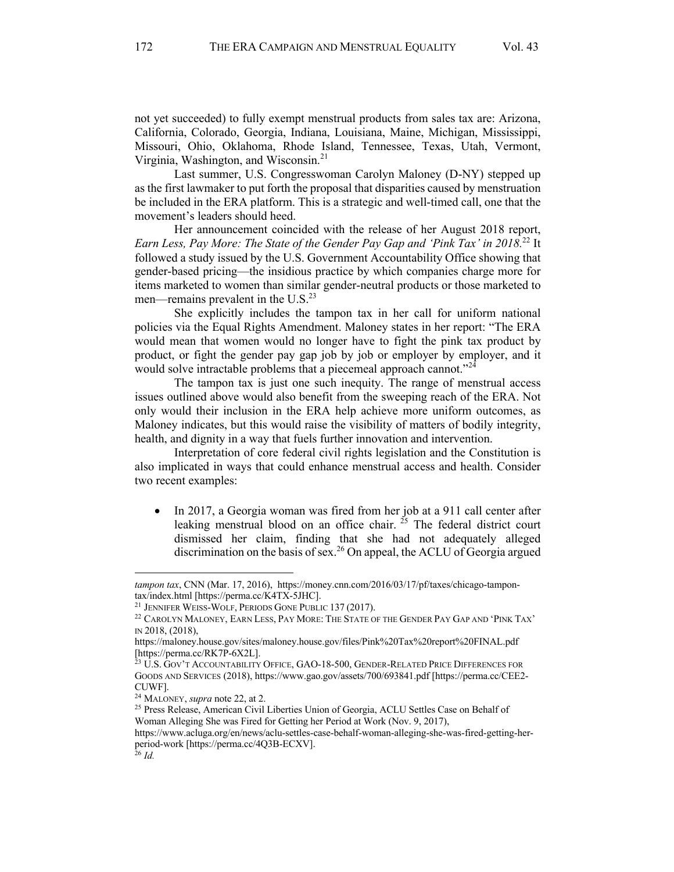not yet succeeded) to fully exempt menstrual products from sales tax are: Arizona, California, Colorado, Georgia, Indiana, Louisiana, Maine, Michigan, Mississippi, Missouri, Ohio, Oklahoma, Rhode Island, Tennessee, Texas, Utah, Vermont, Virginia, Washington, and Wisconsin.<sup>21</sup>

Last summer, U.S. Congresswoman Carolyn Maloney (D-NY) stepped up as the first lawmaker to put forth the proposal that disparities caused by menstruation be included in the ERA platform. This is a strategic and well-timed call, one that the movement's leaders should heed.

Her announcement coincided with the release of her August 2018 report, *Earn Less, Pay More: The State of the Gender Pay Gap and 'Pink Tax' in 2018.* <sup>22</sup> It followed a study issued by the U.S. Government Accountability Office showing that gender-based pricing—the insidious practice by which companies charge more for items marketed to women than similar gender-neutral products or those marketed to men—remains prevalent in the  $U.S.<sup>23</sup>$ 

She explicitly includes the tampon tax in her call for uniform national policies via the Equal Rights Amendment. Maloney states in her report: "The ERA would mean that women would no longer have to fight the pink tax product by product, or fight the gender pay gap job by job or employer by employer, and it would solve intractable problems that a piecemeal approach cannot."<sup>22</sup>

The tampon tax is just one such inequity. The range of menstrual access issues outlined above would also benefit from the sweeping reach of the ERA. Not only would their inclusion in the ERA help achieve more uniform outcomes, as Maloney indicates, but this would raise the visibility of matters of bodily integrity, health, and dignity in a way that fuels further innovation and intervention.

Interpretation of core federal civil rights legislation and the Constitution is also implicated in ways that could enhance menstrual access and health. Consider two recent examples:

• In 2017, a Georgia woman was fired from her job at a 911 call center after leaking menstrual blood on an office chair.  $^{25}$  The federal district court dismissed her claim, finding that she had not adequately alleged discrimination on the basis of sex.<sup>26</sup> On appeal, the ACLU of Georgia argued

*tampon tax*, CNN (Mar. 17, 2016), https://money.cnn.com/2016/03/17/pf/taxes/chicago-tampontax/index.html [https://perma.cc/K4TX-5JHC].

<sup>21</sup> JENNIFER WEISS-WOLF, PERIODS GONE PUBLIC 137 (2017).

<sup>&</sup>lt;sup>22</sup> CAROLYN MALONEY, EARN LESS, PAY MORE: THE STATE OF THE GENDER PAY GAP AND 'PINK TAX' IN 2018, (2018),

https://maloney.house.gov/sites/maloney.house.gov/files/Pink%20Tax%20report%20FINAL.pdf [https://perma.cc/RK7P-6X2L].

 $^{23}$  U.S. Gov't Accountability Office, GAO-18-500, Gender-Related Price Differences for GOODS AND SERVICES (2018), https://www.gao.gov/assets/700/693841.pdf [https://perma.cc/CEE2- CUWF].

<sup>24</sup> MALONEY, *supra* note 22, at 2.

<sup>&</sup>lt;sup>25</sup> Press Release, American Civil Liberties Union of Georgia, ACLU Settles Case on Behalf of Woman Alleging She was Fired for Getting her Period at Work (Nov. 9, 2017),

https://www.acluga.org/en/news/aclu-settles-case-behalf-woman-alleging-she-was-fired-getting-herperiod-work [https://perma.cc/4Q3B-ECXV]. <sup>26</sup> *Id.*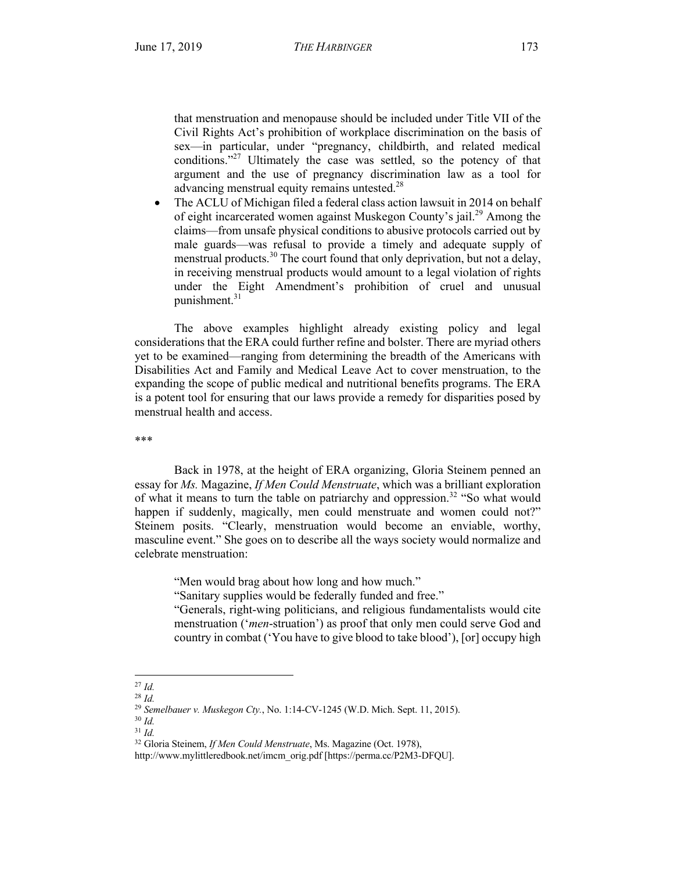that menstruation and menopause should be included under Title VII of the Civil Rights Act's prohibition of workplace discrimination on the basis of sex—in particular, under "pregnancy, childbirth, and related medical conditions."<sup>27</sup> Ultimately the case was settled, so the potency of that argument and the use of pregnancy discrimination law as a tool for advancing menstrual equity remains untested.<sup>28</sup>

• The ACLU of Michigan filed a federal class action lawsuit in 2014 on behalf of eight incarcerated women against Muskegon County's jail.<sup>29</sup> Among the claims—from unsafe physical conditions to abusive protocols carried out by male guards—was refusal to provide a timely and adequate supply of menstrual products.<sup>30</sup> The court found that only deprivation, but not a delay, in receiving menstrual products would amount to a legal violation of rights under the Eight Amendment's prohibition of cruel and unusual punishment. 31

The above examples highlight already existing policy and legal considerations that the ERA could further refine and bolster. There are myriad others yet to be examined—ranging from determining the breadth of the Americans with Disabilities Act and Family and Medical Leave Act to cover menstruation, to the expanding the scope of public medical and nutritional benefits programs. The ERA is a potent tool for ensuring that our laws provide a remedy for disparities posed by menstrual health and access.

\*\*\*

Back in 1978, at the height of ERA organizing, Gloria Steinem penned an essay for *Ms.* Magazine, *If Men Could Menstruate*, which was a brilliant exploration of what it means to turn the table on patriarchy and oppression.<sup>32</sup> "So what would happen if suddenly, magically, men could menstruate and women could not?" Steinem posits. "Clearly, menstruation would become an enviable, worthy, masculine event." She goes on to describe all the ways society would normalize and celebrate menstruation:

"Men would brag about how long and how much."

"Sanitary supplies would be federally funded and free."

"Generals, right-wing politicians, and religious fundamentalists would cite menstruation ('*men*-struation') as proof that only men could serve God and country in combat ('You have to give blood to take blood'), [or] occupy high

l <sup>27</sup> *Id.*

<sup>28</sup> *Id.*

<sup>29</sup> *Semelbauer v. Muskegon Cty.*, No. 1:14-CV-1245 (W.D. Mich. Sept. 11, 2015). <sup>30</sup> *Id.*

<sup>31</sup> *Id.*

<sup>32</sup> Gloria Steinem, *If Men Could Menstruate*, Ms. Magazine (Oct. 1978),

http://www.mylittleredbook.net/imcm\_orig.pdf [https://perma.cc/P2M3-DFQU].